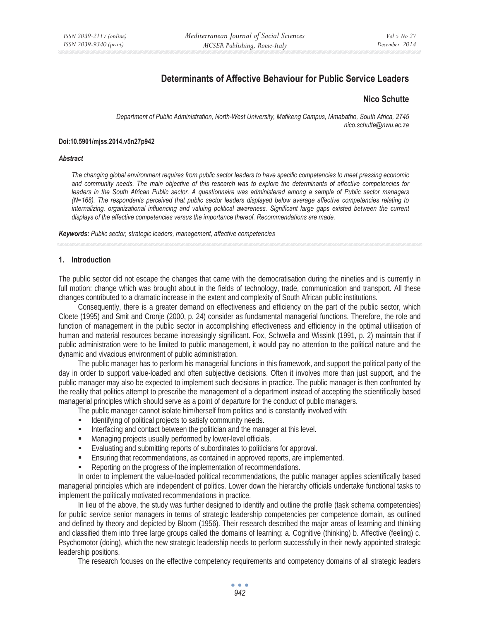# **Determinants of Affective Behaviour for Public Service Leaders**

### **Nico Schutte**

*Department of Public Administration, North-West University, Mafikeng Campus, Mmabatho, South Africa, 2745 nico.schutte@nwu.ac.za* 

#### **Doi:10.5901/mjss.2014.v5n27p942**

#### *Abstract*

*The changing global environment requires from public sector leaders to have specific competencies to meet pressing economic and community needs. The main objective of this research was to explore the determinants of affective competencies for leaders in the South African Public sector. A questionnaire was administered among a sample of Public sector managers (N=168). The respondents perceived that public sector leaders displayed below average affective competencies relating to internalizing, organizational influencing and valuing political awareness. Significant large gaps existed between the current displays of the affective competencies versus the importance thereof. Recommendations are made.* 

*Keywords: Public sector, strategic leaders, management, affective competencies*

#### **1. Introduction**

The public sector did not escape the changes that came with the democratisation during the nineties and is currently in full motion: change which was brought about in the fields of technology, trade, communication and transport. All these changes contributed to a dramatic increase in the extent and complexity of South African public institutions.

Consequently, there is a greater demand on effectiveness and efficiency on the part of the public sector, which Cloete (1995) and Smit and Cronje (2000, p. 24) consider as fundamental managerial functions. Therefore, the role and function of management in the public sector in accomplishing effectiveness and efficiency in the optimal utilisation of human and material resources became increasingly significant. Fox, Schwella and Wissink (1991, p. 2) maintain that if public administration were to be limited to public management, it would pay no attention to the political nature and the dynamic and vivacious environment of public administration.

The public manager has to perform his managerial functions in this framework, and support the political party of the day in order to support value-loaded and often subjective decisions. Often it involves more than just support, and the public manager may also be expected to implement such decisions in practice. The public manager is then confronted by the reality that politics attempt to prescribe the management of a department instead of accepting the scientifically based managerial principles which should serve as a point of departure for the conduct of public managers.

The public manager cannot isolate him/herself from politics and is constantly involved with:

- Identifying of political projects to satisfy community needs.
- Interfacing and contact between the politician and the manager at this level.
- **Managing projects usually performed by lower-level officials.**
- Evaluating and submitting reports of subordinates to politicians for approval.
- Ensuring that recommendations, as contained in approved reports, are implemented.
- Reporting on the progress of the implementation of recommendations.

In order to implement the value-loaded political recommendations, the public manager applies scientifically based managerial principles which are independent of politics. Lower down the hierarchy officials undertake functional tasks to implement the politically motivated recommendations in practice.

In lieu of the above, the study was further designed to identify and outline the profile (task schema competencies) for public service senior managers in terms of strategic leadership competencies per competence domain, as outlined and defined by theory and depicted by Bloom (1956). Their research described the major areas of learning and thinking and classified them into three large groups called the domains of learning: a. Cognitive (thinking) b. Affective (feeling) c. Psychomotor (doing), which the new strategic leadership needs to perform successfully in their newly appointed strategic leadership positions.

The research focuses on the effective competency requirements and competency domains of all strategic leaders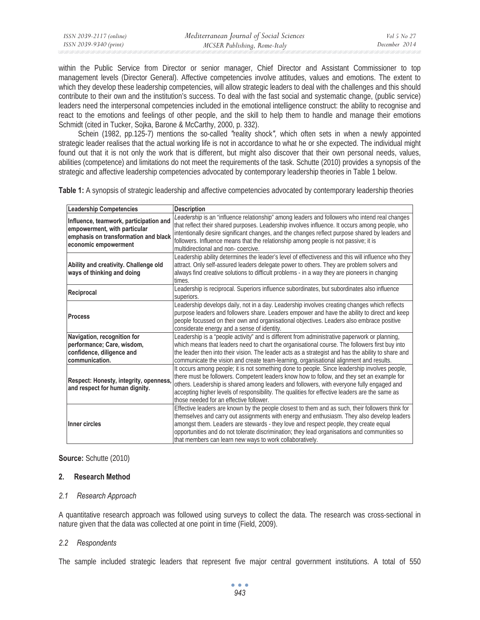| ISSN 2039-2117 (online) | Mediterranean Journal of Social Sciences | Vol 5 No 27   |
|-------------------------|------------------------------------------|---------------|
| ISSN 2039-9340 (print)  | MCSER Publishing, Rome-Italy             | December 2014 |

within the Public Service from Director or senior manager, Chief Director and Assistant Commissioner to top management levels (Director General). Affective competencies involve attitudes, values and emotions. The extent to which they develop these leadership competencies, will allow strategic leaders to deal with the challenges and this should contribute to their own and the institution's success. To deal with the fast social and systematic change, (public service) leaders need the interpersonal competencies included in the emotional intelligence construct: the ability to recognise and react to the emotions and feelings of other people, and the skill to help them to handle and manage their emotions Schmidt (cited in Tucker, Sojka, Barone & McCarthy, 2000, p. 332).

Schein (1982, pp.125-7) mentions the so-called *"*reality shock*",* which often sets in when a newly appointed strategic leader realises that the actual working life is not in accordance to what he or she expected. The individual might found out that it is not only the work that is different, but might also discover that their own personal needs, values, abilities (competence) and limitations do not meet the requirements of the task. Schutte (2010) provides a synopsis of the strategic and affective leadership competencies advocated by contemporary leadership theories in Table 1 below.

**Table 1:** A synopsis of strategic leadership and affective competencies advocated by contemporary leadership theories

| <b>Leadership Competencies</b>                                                                                                         | <b>Description</b>                                                                                                                                                                                                                                                                                                                                                                                                                                 |  |  |
|----------------------------------------------------------------------------------------------------------------------------------------|----------------------------------------------------------------------------------------------------------------------------------------------------------------------------------------------------------------------------------------------------------------------------------------------------------------------------------------------------------------------------------------------------------------------------------------------------|--|--|
| Influence, teamwork, participation and<br>empowerment, with particular<br>emphasis on transformation and black<br>economic empowerment | Leadership is an "influence relationship" among leaders and followers who intend real changes<br>that reflect their shared purposes. Leadership involves influence. It occurs among people, who<br>intentionally desire significant changes, and the changes reflect purpose shared by leaders and<br>followers. Influence means that the relationship among people is not passive; it is<br>multidirectional and non-coercive.                    |  |  |
| Ability and creativity. Challenge old<br>ways of thinking and doing                                                                    | Leadership ability determines the leader's level of effectiveness and this will influence who they<br>attract. Only self-assured leaders delegate power to others. They are problem solvers and<br>always find creative solutions to difficult problems - in a way they are pioneers in changing<br>times.                                                                                                                                         |  |  |
| Reciprocal                                                                                                                             | Leadership is reciprocal. Superiors influence subordinates, but subordinates also influence<br>superiors.                                                                                                                                                                                                                                                                                                                                          |  |  |
| <b>Process</b>                                                                                                                         | Leadership develops daily, not in a day. Leadership involves creating changes which reflects<br>purpose leaders and followers share. Leaders empower and have the ability to direct and keep<br>people focussed on their own and organisational objectives. Leaders also embrace positive<br>considerate energy and a sense of identity.                                                                                                           |  |  |
| Navigation, recognition for<br>performance; Care, wisdom,<br>confidence, diligence and<br>communication.                               | Leadership is a "people activity" and is different from administrative paperwork or planning,<br>which means that leaders need to chart the organisational course. The followers first buy into<br>the leader then into their vision. The leader acts as a strategist and has the ability to share and<br>communicate the vision and create team-learning, organisational alignment and results.                                                   |  |  |
| Respect: Honesty, integrity, openness,<br>and respect for human dignity.                                                               | It occurs among people; it is not something done to people. Since leadership involves people,<br>there must be followers. Competent leaders know how to follow, and they set an example for<br>others. Leadership is shared among leaders and followers, with everyone fully engaged and<br>accepting higher levels of responsibility. The qualities for effective leaders are the same as<br>those needed for an effective follower.              |  |  |
| Inner circles                                                                                                                          | Effective leaders are known by the people closest to them and as such, their followers think for<br>themselves and carry out assignments with energy and enthusiasm. They also develop leaders<br>amongst them. Leaders are stewards - they love and respect people, they create equal<br>opportunities and do not tolerate discrimination; they lead organisations and communities so<br>that members can learn new ways to work collaboratively. |  |  |

**Source:** Schutte (2010)

### **2. Research Method**

### *2.1 Research Approach*

A quantitative research approach was followed using surveys to collect the data. The research was cross-sectional in nature given that the data was collected at one point in time (Field, 2009).

### *2.2 Respondents*

The sample included strategic leaders that represent five major central government institutions. A total of 550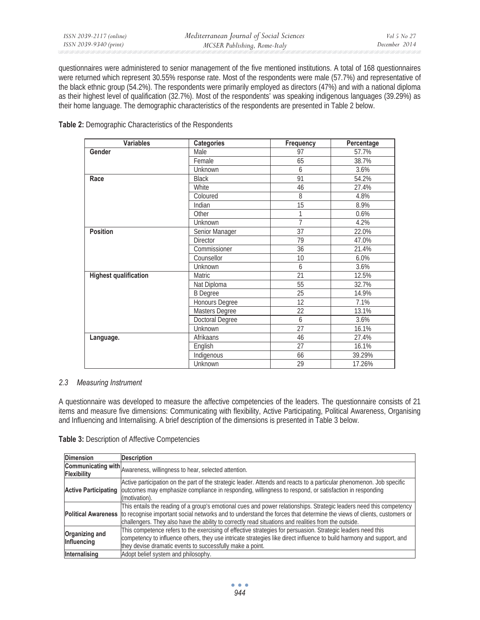questionnaires were administered to senior management of the five mentioned institutions. A total of 168 questionnaires were returned which represent 30.55% response rate. Most of the respondents were male (57.7%) and representative of the black ethnic group (54.2%). The respondents were primarily employed as directors (47%) and with a national diploma as their highest level of qualification (32.7%). Most of the respondents' was speaking indigenous languages (39.29%) as their home language. The demographic characteristics of the respondents are presented in Table 2 below.

| <b>Variables</b>             | <b>Categories</b>      | Frequency      | Percentage |
|------------------------------|------------------------|----------------|------------|
| Gender                       | Male                   | 97             | 57.7%      |
|                              | Female                 | 65             | 38.7%      |
|                              | Unknown                | 6              | 3.6%       |
| Race                         | <b>Black</b>           | 91             | 54.2%      |
|                              | <b>White</b>           | 46             | 27.4%      |
|                              | Coloured               | 8              | 4.8%       |
|                              | Indian                 | 15             | 8.9%       |
|                              | Other                  | 1              | 0.6%       |
|                              | Unknown                | $\overline{7}$ | 4.2%       |
| <b>Position</b>              | Senior Manager         | 37             | 22.0%      |
|                              | <b>Director</b>        | 79             | 47.0%      |
|                              | Commissioner           | 36             | 21.4%      |
|                              | Counsellor             | 10             | 6.0%       |
|                              | Unknown                | 6              | 3.6%       |
| <b>Highest qualification</b> | <b>Matric</b>          | 21             | 12.5%      |
|                              | Nat Diploma            | 55             | 32.7%      |
|                              | <b>B</b> Degree        | 25             | 14.9%      |
|                              | Honours Degree         | 12             | 7.1%       |
|                              | Masters Degree         | 22             | 13.1%      |
|                              | <b>Doctoral Degree</b> | 6              | 3.6%       |
|                              | Unknown                | 27             | 16.1%      |
| Language.                    | Afrikaans              | 46             | 27.4%      |
|                              | English                | 27             | 16.1%      |
|                              | Indigenous             | 66             | 39.29%     |
|                              | Unknown                | 29             | 17.26%     |

**Table 2:** Demographic Characteristics of the Respondents

### *2.3 Measuring Instrument*

A questionnaire was developed to measure the affective competencies of the leaders. The questionnaire consists of 21 items and measure five dimensions: Communicating with flexibility, Active Participating, Political Awareness, Organising and Influencing and Internalising. A brief description of the dimensions is presented in Table 3 below.

| Table 3: Description of Affective Competencies |
|------------------------------------------------|
|------------------------------------------------|

| <b>Dimension</b>              | <b>Description</b>                                                                                                                                                                                                                                                                                                                                                        |
|-------------------------------|---------------------------------------------------------------------------------------------------------------------------------------------------------------------------------------------------------------------------------------------------------------------------------------------------------------------------------------------------------------------------|
|                               | <b>Communicating with</b> Awareness, willingness to hear, selected attention.                                                                                                                                                                                                                                                                                             |
| <b>Active Participating</b>   | Active participation on the part of the strategic leader. Attends and reacts to a particular phenomenon. Job specific<br>outcomes may emphasize compliance in responding, willingness to respond, or satisfaction in responding<br>(motivation).                                                                                                                          |
|                               | This entails the reading of a group's emotional cues and power relationships. Strategic leaders need this competency<br>Political Awareness to recognise important social networks and to understand the forces that determine the views of clients, customers or<br>challengers. They also have the ability to correctly read situations and realities from the outside. |
| Organizing and<br>Influencing | This competence refers to the exercising of effective strategies for persuasion. Strategic leaders need this<br>competency to influence others, they use intricate strategies like direct influence to build harmony and support, and<br>they devise dramatic events to successfully make a point.                                                                        |
| Internalising                 | Adopt belief system and philosophy.                                                                                                                                                                                                                                                                                                                                       |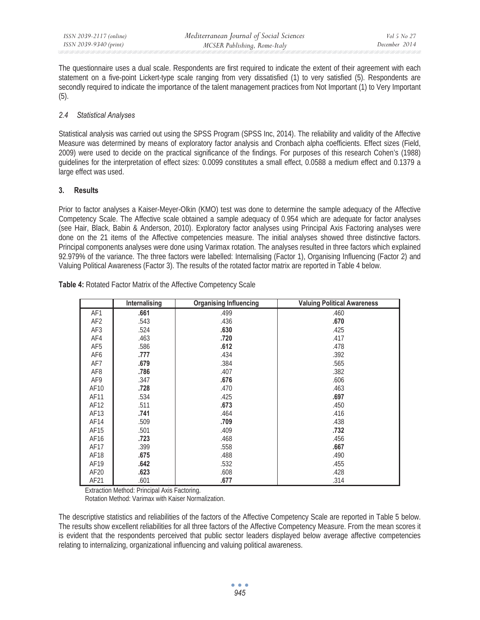The questionnaire uses a dual scale. Respondents are first required to indicate the extent of their agreement with each statement on a five-point Lickert-type scale ranging from very dissatisfied (1) to very satisfied (5). Respondents are secondly required to indicate the importance of the talent management practices from Not Important (1) to Very Important (5).

# *2.4 Statistical Analyses*

Statistical analysis was carried out using the SPSS Program (SPSS Inc, 2014). The reliability and validity of the Affective Measure was determined by means of exploratory factor analysis and Cronbach alpha coefficients. Effect sizes (Field, 2009) were used to decide on the practical significance of the findings. For purposes of this research Cohen's (1988) guidelines for the interpretation of effect sizes: 0.0099 constitutes a small effect, 0.0588 a medium effect and 0.1379 a large effect was used.

## **3. Results**

Prior to factor analyses a Kaiser-Meyer-Olkin (KMO) test was done to determine the sample adequacy of the Affective Competency Scale. The Affective scale obtained a sample adequacy of 0.954 which are adequate for factor analyses (see Hair, Black, Babin & Anderson, 2010). Exploratory factor analyses using Principal Axis Factoring analyses were done on the 21 items of the Affective competencies measure. The initial analyses showed three distinctive factors. Principal components analyses were done using Varimax rotation. The analyses resulted in three factors which explained 92.979% of the variance. The three factors were labelled: Internalising (Factor 1), Organising Influencing (Factor 2) and Valuing Political Awareness (Factor 3). The results of the rotated factor matrix are reported in Table 4 below.

|                  | Internalising | <b>Organising Influencing</b> | <b>Valuing Political Awareness</b> |
|------------------|---------------|-------------------------------|------------------------------------|
| AF1              | .661          | .499                          | .460                               |
| AF <sub>2</sub>  | .543          | .436                          | .670                               |
| AF3              | .524          | .630                          | .425                               |
| AF4              | .463          | .720                          | .417                               |
| AF <sub>5</sub>  | .586          | .612                          | .478                               |
| AF6              | .777          | .434                          | .392                               |
| AF7              | .679          | .384                          | .565                               |
| AF <sub>8</sub>  | .786          | .407                          | .382                               |
| AF9              | .347          | .676                          | .606                               |
| AF10             | .728          | .470                          | .463                               |
| AF11             | .534          | .425                          | .697                               |
| AF12             | .511          | .673                          | .450                               |
| AF13             | .741          | .464                          | .416                               |
| AF14             | .509          | .709                          | .438                               |
| AF15             | .501          | .409                          | .732                               |
| AF16             | .723          | .468                          | .456                               |
| AF17             | .399          | .558                          | .667                               |
| AF18             | .675          | .488                          | .490                               |
| AF19             | .642          | .532                          | .455                               |
| AF <sub>20</sub> | .623          | .608                          | .428                               |
| AF21             | .601          | .677                          | .314                               |

**Table 4:** Rotated Factor Matrix of the Affective Competency Scale

Extraction Method: Principal Axis Factoring.

Rotation Method: Varimax with Kaiser Normalization.

The descriptive statistics and reliabilities of the factors of the Affective Competency Scale are reported in Table 5 below. The results show excellent reliabilities for all three factors of the Affective Competency Measure. From the mean scores it is evident that the respondents perceived that public sector leaders displayed below average affective competencies relating to internalizing, organizational influencing and valuing political awareness.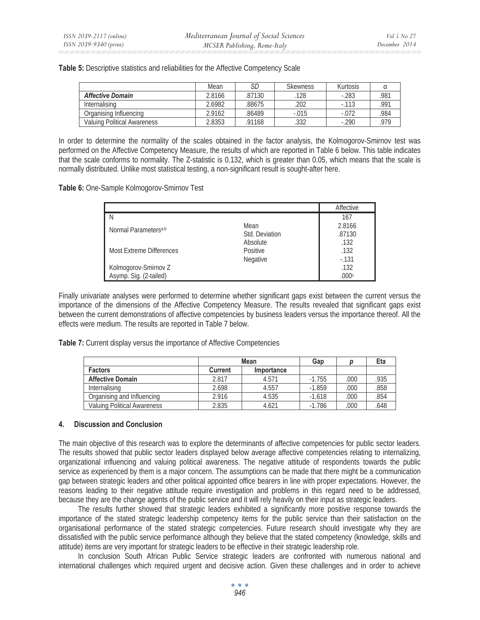|                             | Mean   | SC    | <b>Skewness</b> | Kurtosis |      |
|-----------------------------|--------|-------|-----------------|----------|------|
| <b>Affective Domain</b>     | 2.8166 | 87130 | 128             | $-283$   | 981  |
| Internalising               | 2.6982 | 88675 | 202             | $-0.113$ | .991 |
| Organising Influencing      | 2.9162 | 86489 | $-.015$         | $-.072$  | 984  |
| Valuing Political Awareness | 2.8353 | 91168 | .332            | $-290$   | 070  |

**Table 5:** Descriptive statistics and reliabilities for the Affective Competency Scale

In order to determine the normality of the scales obtained in the factor analysis, the Kolmogorov-Smirnov test was performed on the Affective Competency Measure, the results of which are reported in Table 6 below. This table indicates that the scale conforms to normality. The Z-statistic is 0.132, which is greater than 0.05, which means that the scale is normally distributed. Unlike most statistical testing, a non-significant result is sought-after here.

**Table 6:** One-Sample Kolmogorov-Smirnov Test

|                                  |                | Affective |
|----------------------------------|----------------|-----------|
| N                                |                | 167       |
| Normal Parameters <sup>a,b</sup> | Mean           | 2.8166    |
|                                  | Std. Deviation | .87130    |
|                                  | Absolute       | .132      |
| <b>Most Extreme Differences</b>  | Positive       | .132      |
|                                  | Negative       | $-131$    |
| Kolmogorov-Smirnov Z             |                | .132      |
| Asymp. Sig. (2-tailed)           |                | .000c     |

Finally univariate analyses were performed to determine whether significant gaps exist between the current versus the importance of the dimensions of the Affective Competency Measure. The results revealed that significant gaps exist between the current demonstrations of affective competencies by business leaders versus the importance thereof. All the effects were medium. The results are reported in Table 7 below.

**Table 7:** Current display versus the importance of Affective Competencies

|                             | Mean           |            | Gap      |      | Eta |
|-----------------------------|----------------|------------|----------|------|-----|
| <b>Factors</b>              | <b>Current</b> | Importance |          |      |     |
| <b>Affective Domain</b>     | 2.817          | 4.571      | $-1.755$ | .000 | 935 |
| Internalising               | 2.698          | 4.557      | $-1.859$ | .000 | 858 |
| Organising and Influencing  | 2.916          | 4.535      | $-1.618$ | .000 | 854 |
| Valuing Political Awareness | 2.835          | 4.621      | $-1.786$ | .000 | 648 |

### **4. Discussion and Conclusion**

The main objective of this research was to explore the determinants of affective competencies for public sector leaders. The results showed that public sector leaders displayed below average affective competencies relating to internalizing, organizational influencing and valuing political awareness. The negative attitude of respondents towards the public service as experienced by them is a major concern. The assumptions can be made that there might be a communication gap between strategic leaders and other political appointed office bearers in line with proper expectations. However, the reasons leading to their negative attitude require investigation and problems in this regard need to be addressed, because they are the change agents of the public service and it will rely heavily on their input as strategic leaders.

The results further showed that strategic leaders exhibited a significantly more positive response towards the importance of the stated strategic leadership competency items for the public service than their satisfaction on the organisational performance of the stated strategic competencies. Future research should investigate why they are dissatisfied with the public service performance although they believe that the stated competency (knowledge, skills and attitude) items are very important for strategic leaders to be effective in their strategic leadership role.

In conclusion South African Public Service strategic leaders are confronted with numerous national and international challenges which required urgent and decisive action. Given these challenges and in order to achieve